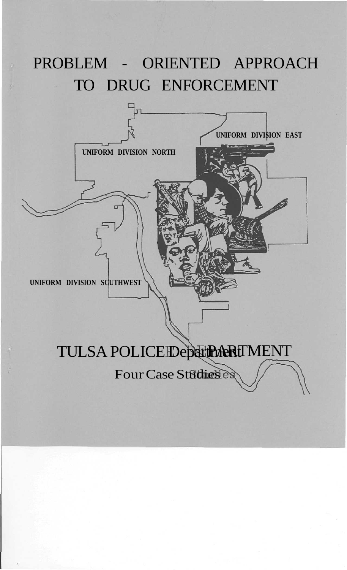# PROBLEM - ORIENTED APPROACH TO DRUG ENFORCEMENT

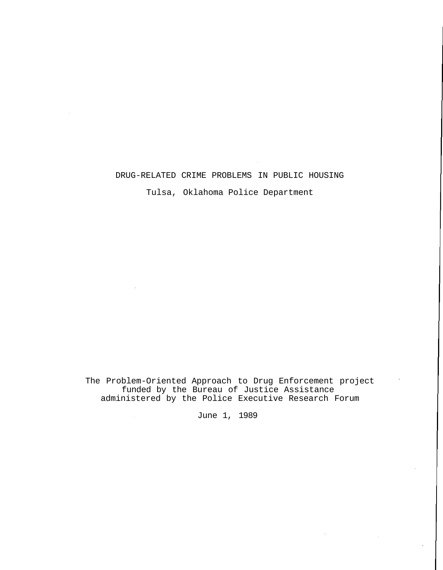# DRUG-RELATED CRIME PROBLEMS IN PUBLIC HOUSING

 $\sim$  .

Tulsa, Oklahoma Police Department

The Problem-Oriented Approach to Drug Enforcement project funded by the Bureau of Justice Assistance administered by the Police Executive Research Forum

June 1, 1989

 $\sim$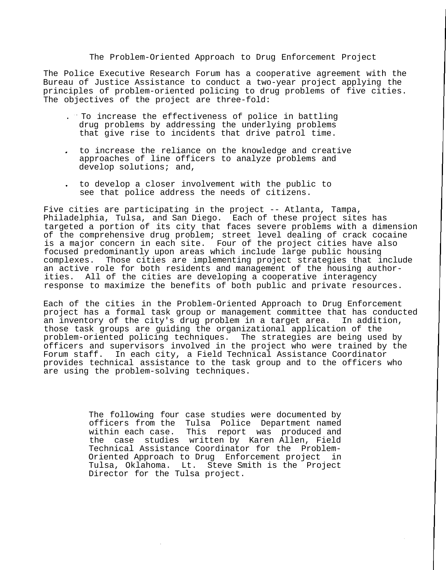#### The Problem-Oriented Approach to Drug Enforcement Project

The Police Executive Research Forum has a cooperative agreement with the Bureau of Justice Assistance to conduct a two-year project applying the principles of problem-oriented policing to drug problems of five cities. The objectives of the project are three-fold:

- . To increase the effectiveness of police in battling drug problems by addressing the underlying problems that give rise to incidents that drive patrol time.
- to increase the reliance on the knowledge and creative approaches of line officers to analyze problems and develop solutions; and,
- to develop a closer involvement with the public to see that police address the needs of citizens.

Five cities are participating in the project -- Atlanta, Tampa, Philadelphia, Tulsa, and San Diego. Each of these project sites has targeted a portion of its city that faces severe problems with a dimension of the comprehensive drug problem; street level dealing of crack cocaine is a major concern in each site. Four of the project cities have also focused predominantly upon areas which include large public housing complexes. Those cities are implementing project strategies that include an active role for both residents and management of the housing authorities. All of the cities are developing a cooperative interagency response to maximize the benefits of both public and private resources.

Each of the cities in the Problem-Oriented Approach to Drug Enforcement project has a formal task group or management committee that has conducted an inventory of the city's drug problem in a target area. In addition, those task groups are guiding the organizational application of the problem-oriented policing techniques. The strategies are being used by officers and supervisors involved in the project who were trained by the<br>Forum staff. In each city, a Field Technical Assistance Coordinator In each city, a Field Technical Assistance Coordinator provides technical assistance to the task group and to the officers who are using the problem-solving techniques.

> The following four case studies were documented by officers from the Tulsa Police Department named within each case. This report was produced and the case studies written by Karen Allen, Field Technical Assistance Coordinator for the Problem-Oriented Approach to Drug Enforcement project in Tulsa, Oklahoma. Lt. Steve Smith is the Project Director for the Tulsa project.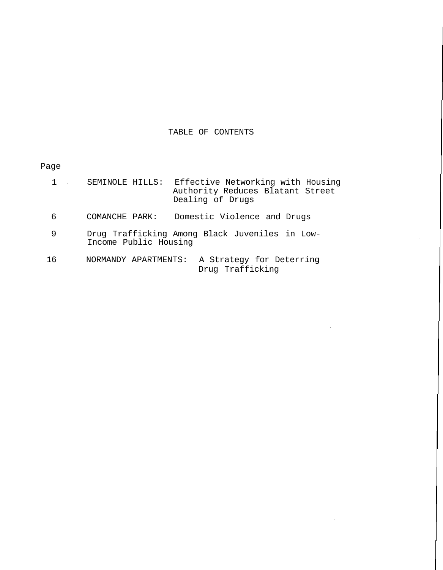# TABLE OF CONTENTS

 $\sim$ 

# Page

 $\bar{\mathcal{A}}$ 

|    | Effective Networking with Housing<br>SEMINOLE HILLS:<br>Authority Reduces Blatant Street<br>Dealing of Drugs |
|----|--------------------------------------------------------------------------------------------------------------|
| 6  | Domestic Violence and Drugs<br>COMANCHE PARK:                                                                |
| 9  | Drug Trafficking Among Black Juveniles in Low-<br>Income Public Housing                                      |
| 16 | A Strategy for Deterring<br>NORMANDY APARTMENTS:<br>Drug Trafficking                                         |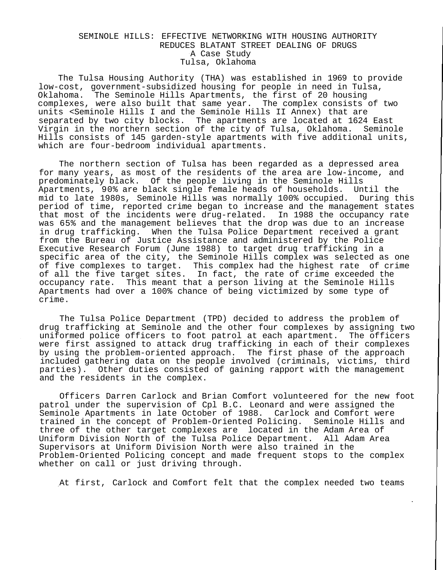## SEMINOLE HILLS: EFFECTIVE NETWORKING WITH HOUSING AUTHORITY REDUCES BLATANT STREET DEALING OF DRUGS A Case Study Tulsa, Oklahoma

The Tulsa Housing Authority (THA) was established in 1969 to provide low-cost, government-subsidized housing for people in need in Tulsa, Oklahoma. The Seminole Hills Apartments, the first of 20 housing complexes, were also built that same year. The complex consists of two units <Seminole Hills I and the Seminole Hills II Annex) that are separated by two city blocks. The apartments are located at 1624 East Virgin in the northern section of the city of Tulsa, Oklahoma. Seminole Hills consists of 145 garden-style apartments with five additional units, which are four-bedroom individual apartments.

The northern section of Tulsa has been regarded as a depressed area for many years, as most of the residents of the area are low-income, and predominately black. Of the people living in the Seminole Hills Apartments, 90% are black single female heads of households. Until the mid to late 1980s, Seminole Hills was normally 100% occupied. During this period of time, reported crime began to increase and the management states that most of the incidents were drug-related. In 1988 the occupancy rate was 65% and the management believes that the drop was due to an increase in drug trafficking. When the Tulsa Police Department received a grant from the Bureau of Justice Assistance and administered by the Police Executive Research Forum (June 1988) to target drug trafficking in a specific area of the city, the Seminole Hills complex was selected as one of five complexes to target. This complex had the highest rate of crime of all the five target sites. In fact, the rate of crime exceeded the occupancy rate. This meant that a person living at the Seminole Hills Apartments had over a 100% chance of being victimized by some type of crime.

The Tulsa Police Department (TPD) decided to address the problem of drug trafficking at Seminole and the other four complexes by assigning two uniformed police officers to foot patrol at each apartment. The officers were first assigned to attack drug trafficking in each of their complexes by using the problem-oriented approach. The first phase of the approach included gathering data on the people involved (criminals, victims, third parties). Other duties consisted of gaining rapport with the management and the residents in the complex.

Officers Darren Carlock and Brian Comfort volunteered for the new foot patrol under the supervision of Cpl B.C. Leonard and were assigned the Seminole Apartments in late October of 1988. Carlock and Comfort were trained in the concept of Problem-Oriented Policing. Seminole Hills and three of the other target complexes are located in the Adam Area of Uniform Division North of the Tulsa Police Department. All Adam Area Supervisors at Uniform Division North were also trained in the Problem-Oriented Policing concept and made frequent stops to the complex whether on call or just driving through.

At first, Carlock and Comfort felt that the complex needed two teams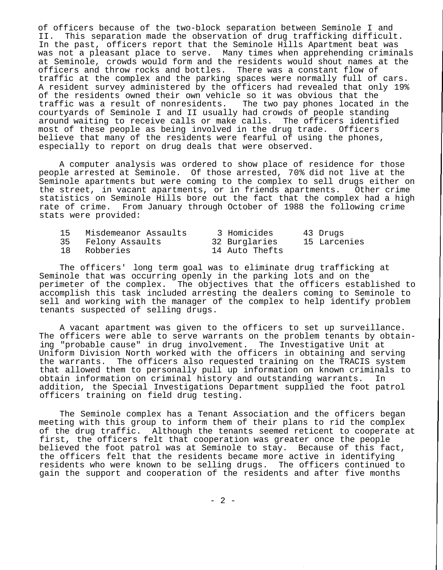of officers because of the two-block separation between Seminole I and II. This separation made the observation of drug trafficking difficult. In the past, officers report that the Seminole Hills Apartment beat was was not a pleasant place to serve. Many times when apprehending criminals at Seminole, crowds would form and the residents would shout names at the officers and throw rocks and bottles. There was a constant flow of traffic at the complex and the parking spaces were normally full of cars. A resident survey administered by the officers had revealed that only 19% of the residents owned their own vehicle so it was obvious that the traffic was a result of nonresidents. The two pay phones located in the courtyards of Seminole I and II usually had crowds of people standing around waiting to receive calls or make calls. The officers identified most of these people as being involved in the drug trade. Officers believe that many of the residents were fearful of using the phones, especially to report on drug deals that were observed.

A computer analysis was ordered to show place of residence for those people arrested at Seminole. Of those arrested, 70% did not live at the Seminole apartments but were coming to the complex to sell drugs either on the street, in vacant apartments, or in friends apartments. Other crime statistics on Seminole Hills bore out the fact that the complex had a high rate of crime. From January through October of 1988 the following crime stats were provided:

| 15 | Misdemeanor Assaults | 3 Homicides    | 43 Drugs     |
|----|----------------------|----------------|--------------|
| 35 | Felony Assaults      | 32 Burglaries  | 15 Larcenies |
| 18 | Robberies            | 14 Auto Thefts |              |

The officers' long term goal was to eliminate drug trafficking at Seminole that was occurring openly in the parking lots and on the perimeter of the complex. The objectives that the officers established to accomplish this task included arresting the dealers coming to Seminole to sell and working with the manager of the complex to help identify problem tenants suspected of selling drugs.

A vacant apartment was given to the officers to set up surveillance. The officers were able to serve warrants on the problem tenants by obtaining "probable cause" in drug involvement. The Investigative Unit at Uniform Division North worked with the officers in obtaining and serving the warrants. The officers also requested training on the TRACIS system that allowed them to personally pull up information on known criminals to obtain information on criminal history and outstanding warrants. In addition, the Special Investigations Department supplied the foot patrol officers training on field drug testing.

The Seminole complex has a Tenant Association and the officers began meeting with this group to inform them of their plans to rid the complex of the drug traffic. Although the tenants seemed reticent to cooperate at first, the officers felt that cooperation was greater once the people believed the foot patrol was at Seminole to stay. Because of this fact, the officers felt that the residents became more active in identifying residents who were known to be selling drugs. The officers continued to gain the support and cooperation of the residents and after five months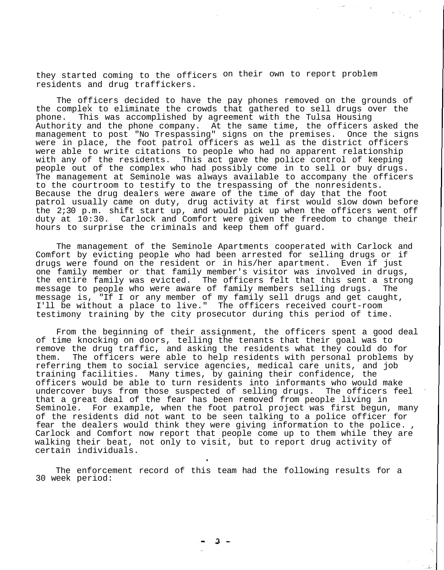they started coming to the officers on their own to report problem residents and drug traffickers.

The officers decided to have the pay phones removed on the grounds of the complex to eliminate the crowds that gathered to sell drugs over the phone. This was accomplished by agreement with the Tulsa Housing Authority and the phone company. At the same time, the officers asked the management to post "No Trespassing" signs on the premises. Once the signs were in place, the foot patrol officers as well as the district officers were able to write citations to people who had no apparent relationship with any of the residents. This act gave the police control of keeping people out of the complex who had possibly come in to sell or buy drugs. The management at Seminole was always available to accompany the officers to the courtroom to testify to the trespassing of the nonresidents. Because the drug dealers were aware of the time of day that the foot patrol usually came on duty, drug activity at first would slow down before the 2;30 p.m. shift start up, and would pick up when the officers went off duty at 10:30. Carlock and Comfort were given the freedom to change their hours to surprise the criminals and keep them off guard.

The management of the Seminole Apartments cooperated with Carlock and Comfort by evicting people who had been arrested for selling drugs or if drugs were found on the resident or in his/her apartment. Even if just one family member or that family member's visitor was involved in drugs, the entire family was evicted. The officers felt that this sent a strong message to people who were aware of family members selling drugs. The message is, "If I or any member of my family sell drugs and get caught, I'll be without a place to live." The officers received court-room testimony training by the city prosecutor during this period of time.

From the beginning of their assignment, the officers spent a good deal of time knocking on doors, telling the tenants that their goal was to remove the drug traffic, and asking the residents what they could do for them. The officers were able to help residents with personal problems by referring them to social service agencies, medical care units, and job training facilities. Many times, by gaining their confidence, the officers would be able to turn residents into informants who would make undercover buys from those suspected of selling drugs. The officers feel that a great deal of the fear has been removed from people living in Seminole. For example, when the foot patrol project was first begun, many of the residents did not want to be seen talking to a police officer for fear the dealers would think they were giving information to the police. , Carlock and Comfort now report that people come up to them while they are walking their beat, not only to visit, but to report drug activity of certain individuals.

The enforcement record of this team had the following results for a 30 week period: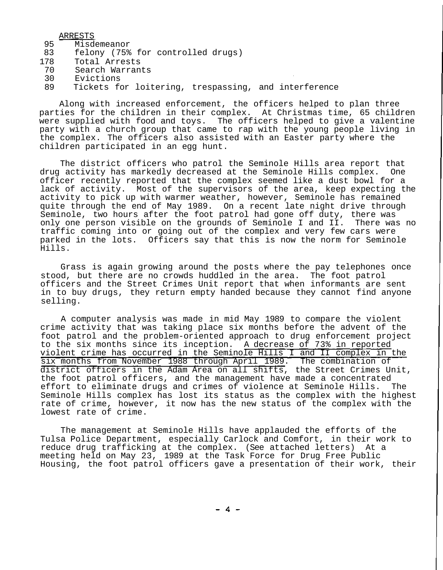ARRESTS

- 95 Misdemeanor
- 83 felony (75% for controlled drugs)
- 178 Total Arrests
- 70 Search Warrants
- 30 Evictions
- 89 Tickets for loitering, trespassing, and interference

Along with increased enforcement, the officers helped to plan three parties for the children in their complex. At Christmas time, 65 children were supplied with food and toys. The officers helped to give a valentine party with a church group that came to rap with the young people living in the complex. The officers also assisted with an Easter party where the children participated in an egg hunt.

The district officers who patrol the Seminole Hills area report that drug activity has markedly decreased at the Seminole Hills complex. One officer recently reported that the complex seemed like a dust bowl for a lack of activity. Most of the supervisors of the area, keep expecting the activity to pick up with warmer weather, however, Seminole has remained quite through the end of May 1989. On a recent late night drive through Seminole, two hours after the foot patrol had gone off duty, there was only one person visible on the grounds of Seminole I and II. There was no traffic coming into or going out of the complex and very few cars were parked in the lots. Officers say that this is now the norm for Seminole Hills.

Grass is again growing around the posts where the pay telephones once stood, but there are no crowds huddled in the area. The foot patrol officers and the Street Crimes Unit report that when informants are sent in to buy drugs, they return empty handed because they cannot find anyone selling.

A computer analysis was made in mid May 1989 to compare the violent crime activity that was taking place six months before the advent of the foot patrol and the problem-oriented approach to drug enforcement project to the six months since its inception. A decrease of 73% in reported violent crime has occurred in the Seminole Hills I and II complex in the six months from November 1988 through April 1989. The combination of district officers in the Adam Area on all shifts, the Street Crimes Unit, the foot patrol officers, and the management have made a concentrated effort to eliminate drugs and crimes of violence at Seminole Hills. The Seminole Hills complex has lost its status as the complex with the highest rate of crime, however, it now has the new status of the complex with the lowest rate of crime.

The management at Seminole Hills have applauded the efforts of the Tulsa Police Department, especially Carlock and Comfort, in their work to reduce drug trafficking at the complex. (See attached letters) At a meeting held on May 23, 1989 at the Task Force for Drug Free Public Housing, the foot patrol officers gave a presentation of their work, their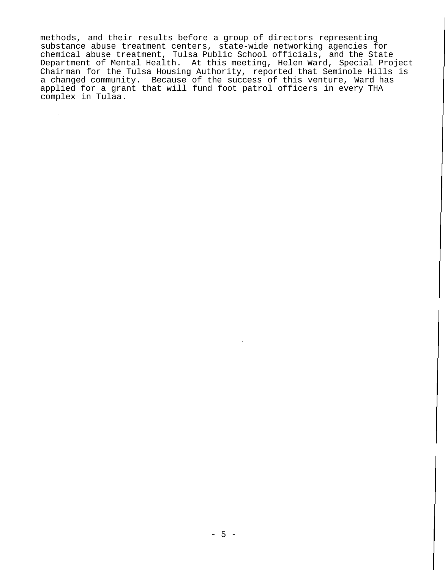methods, and their results before a group of directors representing substance abuse treatment centers, state-wide networking agencies for chemical abuse treatment, Tulsa Public School officials, and the State Department of Mental Health. At this meeting, Helen Ward, Special Project Chairman for the Tulsa Housing Authority, reported that Seminole Hills is a changed community. Because of the success of this venture, Ward has applied for a grant that will fund foot patrol officers in every THA complex in Tulaa.

 $\sim 10^{11}$  and  $\sim 10^{11}$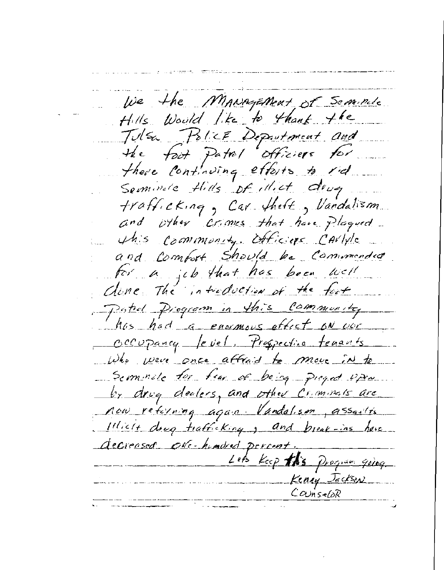We the MANAGEMent of Seminule Hills Would like to thank the Julsa Police Department and the foot Patrol officiers for there continuing efforts to rid Seminate Hills of illict drug trafficking, Car theft, Vandalism and other crimes that have plaqued This commonly officiers CAVIVIC and Comfort Should be Commended for a jub that has been well done The introduction of the fast Patrol Piogram in this community has had a ensumous effect on vor Occupancy level. Prospective tenants Who were once affraid to move in to Seminate for few of being pieged upon by drug dealers, and other Criminals are now returning again Vandalism, assaults 11licit drug trafficking, and break-ins have decreased ove-headed percent. Lets Keep this Program going Keniy Jeckson  $ConvisebR$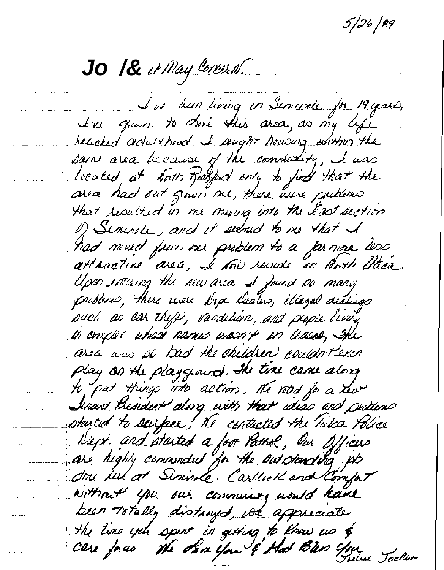5 | 26 | 89

**Jo /&**

L'us bun living in Senivate for 19 years, I've grown. to dove this area, as my life heached adulthoud I sught housing within the sain area because of the community, I was located at North Roofbed only to just that the area had out grown me, there were puttons that resulted in me moving into the East section of Seminice, and it seemed to me that I had mined from our problem to a farmore less attractive area, I saw reside on North Utica. Upon intering the new area I found no many problemo, there were Nope Deaters, illaged dealings such as car thyp, vandelism, and people living in complex where names warn't on leases, She area was so had the children couldn't exin Play on the playgeard. The time came along to put things into action, The road for a new Jenant President along with that ideas and peddems started to surface, The contacted the Takes Police Dept. and started a foot Pathol, Our Officers are highly commended for the outstanding up done les at Sininge. Carllect and Compar without you out communing would have been Totally distroyed, we appreciate the time you spent in getting to know us & Care face the Same you & Had Bless You Jackson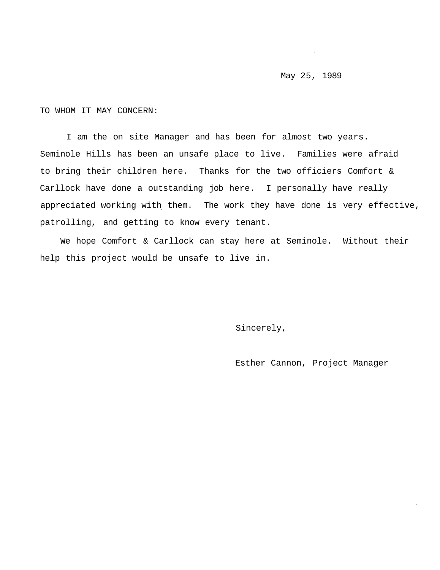## May 25, 1989

TO WHOM IT MAY CONCERN:

I am the on site Manager and has been for almost two years. Seminole Hills has been an unsafe place to live. Families were afraid to bring their children here. Thanks for the two officiers Comfort & Carllock have done a outstanding job here. I personally have really appreciated working with them. The work they have done is very effective, patrolling, and getting to know every tenant.

We hope Comfort & Carllock can stay here at Seminole. Without their help this project would be unsafe to live in.

Sincerely,

Esther Cannon, Project Manager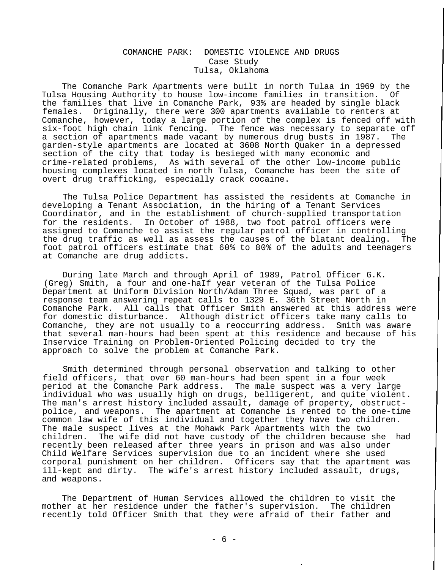# COMANCHE PARK: DOMESTIC VIOLENCE AND DRUGS Case Study Tulsa, Oklahoma

The Comanche Park Apartments were built in north Tulaa in 1969 by the Tulsa Housing Authority to house low-income families in transition. Of the families that live in Comanche Park, 93% are headed by single black females. Originally, there were 300 apartments available to renters at Comanche, however, today a large portion of the complex is fenced off with six-foot high chain link fencing. The fence was necessary to separate off a section of apartments made vacant by numerous drug busts in 1987. The garden-style apartments are located at 3608 North Quaker in a depressed section of the city that today is besieged with many economic and crime-related problems, As with several of the other low-income public housing complexes located in north Tulsa, Comanche has been the site of overt drug trafficking, especially crack cocaine.

The Tulsa Police Department has assisted the residents at Comanche in developing a Tenant Association, in the hiring of a Tenant Services Coordinator, and in the establishment of church-supplied transportation for the residents. In October of 1988, two foot patrol officers were assigned to Comanche to assist the regular patrol officer in controlling the drug traffic as well as assess the causes of the blatant dealing. The foot patrol officers estimate that 60% to 80% of the adults and teenagers at Comanche are drug addicts.

During late March and through April of 1989, Patrol Officer G.K. (Greg) Smith, a four and one-haIf year veteran of the Tulsa Police Department at Uniform Division North/Adam Three Squad, was part of a response team answering repeat calls to 1329 E. 36th Street North in Comanche Park. All calls that Officer Smith answered at this address were for domestic disturbance. Although district officers take many calls to Comanche, they are not usually to a reoccurring address. Smith was aware that several man-hours had been spent at this residence and because of his Inservice Training on Problem-Oriented Policing decided to try the approach to solve the problem at Comanche Park.

Smith determined through personal observation and talking to other field officers, that over 60 man-hours had been spent in a four week period at the Comanche Park address. The male suspect was a very large individual who was usually high on drugs, belligerent, and quite violent. The man's arrest history included assault, damage of property, obstructpolice, and weapons. The apartment at Comanche is rented to the one-time common law wife of this individual and together they have two children. The male suspect lives at the Mohawk Park Apartments with the two children. The wife did not have custody of the children because she had recently been released after three years in prison and was also under Child Welfare Services supervision due to an incident where she used corporal punishment on her children. Officers say that the apartment was ill-kept and dirty. The wife's arrest history included assault, drugs, and weapons.

The Department of Human Services allowed the children to visit the mother at her residence under the father's supervision. The children recently told Officer Smith that they were afraid of their father and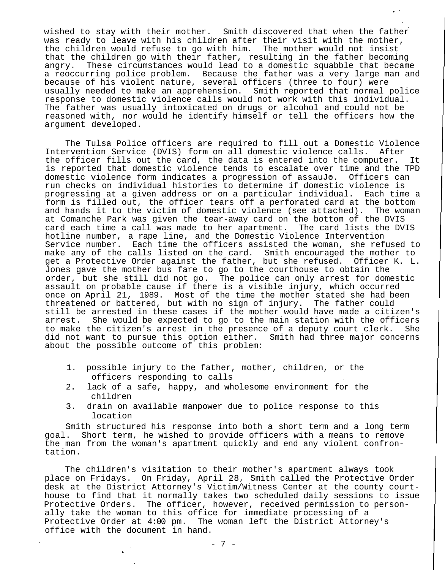wished to stay with their mother. Smith discovered that when the father was ready to leave with his children after their visit with the mother, the children would refuse to go with him. The mother would not insist that the children go with their father, resulting in the father becoming angry. These circumstances would lead to a domestic squabble that became a reoccurring police problem. Because the father was a very large man and because of his violent nature, several officers (three to four) were usually needed to make an apprehension. Smith reported that normal police response to domestic violence calls would not work with this individual. The father was usually intoxicated on drugs or alcohol and could not be reasoned with, nor would he identify himself or tell the officers how the argument developed.

The Tulsa Police officers are required to fill out a Domestic Violence Intervention Service (DVIS) form on all domestic violence calls. After the officer fills out the card, the data is entered into the computer. It is reported that domestic violence tends to escalate over time and the TPD domestic violence form indicates a progression of assauJo. Officers can run checks on individual histories to determine if domestic violence is progressing at a given address or on a particular individual. Each time a form is filled out, the officer tears off a perforated card at the bottom and hands it to the victim of domestic violence (see attached). The woman at Comanche Park was given the tear-away card on the bottom of the DVIS card each time a call was made to her apartment. The card lists the DVIS hotline number, a rape line, and the Domestic Violence Intervention Service number. Each time the officers assisted the woman, she refused to make any of the calls listed on the card. Smith encouraged the mother to get a Protective Order against the father, but she refused. Officer K. L. Jones gave the mother bus fare to go to the courthouse to obtain the order, but she still did not go. The police can only arrest for domestic assault on probable cause if there is a visible injury, which occurred once on April 21, 1989. Most of the time the mother stated she had been threatened or battered, but with no sign of injury. The father could still be arrested in these cases if the mother would have made a citizen's arrest. She would be expected to go to the main station with the officers to make the citizen's arrest in the presence of a deputy court clerk. She did not want to pursue this option either. Smith had three major concerns about the possible outcome of this problem:

- 1. possible injury to the father, mother, children, or the officers responding to calls
- 2. lack of a safe, happy, and wholesome environment for the children
- 3. drain on available manpower due to police response to this location

Smith structured his response into both a short term and a long term goal. Short term, he wished to provide officers with a means to remove the man from the woman's apartment quickly and end any violent confrontation.

The children's visitation to their mother's apartment always took place on Fridays. On Friday, April 28, Smith called the Protective Order desk at the District Attorney's Victim/Witness Center at the county courthouse to find that it normally takes two scheduled daily sessions to issue Protective Orders. The officer, however, received permission to personally take the woman to this office for immediate processing of a Protective Order at 4:00 pm. The woman left the District Attorney's office with the document in hand.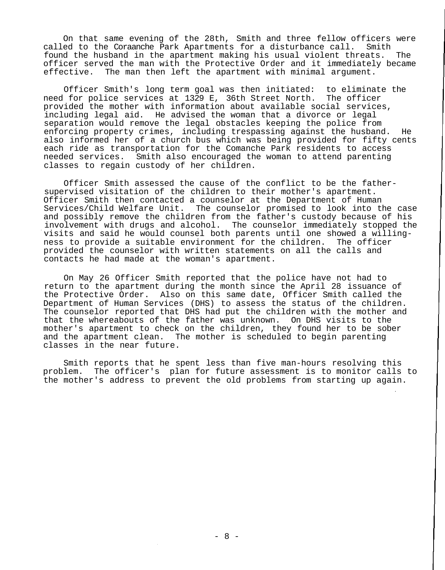On that same evening of the 28th, Smith and three fellow officers were called to the Coraanche Park Apartments for a disturbance call. Smith found the husband in the apartment making his usual violent threats. The officer served the man with the Protective Order and it immediately became effective. The man then left the apartment with minimal argument.

Officer Smith's long term goal was then initiated: to eliminate the need for police services at 1329 E, 36th Street North. The officer provided the mother with information about available social services, including legal aid. He advised the woman that a divorce or legal separation would remove the legal obstacles keeping the police from enforcing property crimes, including trespassing against the husband. He also informed her of a church bus which was being provided for fifty cents each ride as transportation for the Comanche Park residents to access needed services. Smith also encouraged the woman to attend parenting classes to regain custody of her children.

Officer Smith assessed the cause of the conflict to be the fathersupervised visitation of the children to their mother's apartment. Officer Smith then contacted a counselor at the Department of Human Services/Child Welfare Unit. The counselor promised to look into the case and possibly remove the children from the father's custody because of his involvement with drugs and alcohol. The counselor immediately stopped the visits and said he would counsel both parents until one showed a willingness to provide a suitable environment for the children. The officer provided the counselor with written statements on all the calls and contacts he had made at the woman's apartment.

On May 26 Officer Smith reported that the police have not had to return to the apartment during the month since the April 28 issuance of the Protective Order. Also on this same date, Officer Smith called the Department of Human Services (DHS) to assess the status of the children. The counselor reported that DHS had put the children with the mother and that the whereabouts of the father was unknown. On DHS visits to the mother's apartment to check on the children, they found her to be sober and the apartment clean. The mother is scheduled to begin parenting classes in the near future.

Smith reports that he spent less than five man-hours resolving this problem. The officer's plan for future assessment is to monitor calls to the mother's address to prevent the old problems from starting up again.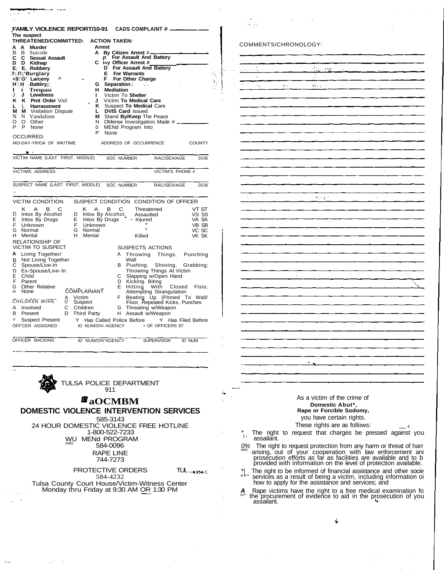**FAMILY VIOLENCE REPORT/10-91 CADS COMPLAINT # The suspect THREATENED/COMMITTED: ACTION TAKEN: A A Murder**<br> **B B Suicide<br>
<b>C C Sexual**<br> **D D Kidnap** Suicide **C C Sexual Assault D D Kidnap E: E. Robbery f::f!;'Burglary <\$::G' Larceny ^** H: H Battery;: **I t Trespass** J **J Lewdness Prot Order** Viol **L** L **Harrassment M M** Visitation Dispute N N Vandalism N N Vandalism<br>O O Other O Other<br>P None **None** OCCURRED: MO-DAY-YR/OA OF WK/TIME **Arrest A By Citizen Arrest** # **p For Assault And Battery C i»y Officer Arrest # D For Assault And Battery E For Warrants F For Other Charge** : **G Separation** . . **H Mediation I** Victim To **Shelter J** Victim **To Medical Care**<br>**K** Suspect **To Medical** Car **K** Suspect **To Medical** Care **L DVIS Card Issued**<br>**M** Stand **Bv/Keep** Th **M** Stand **By/Keep** The Peace<br>N OMense Investigation Made N OMense Investigation Made # 0 MENd Program Into **None** ADDRESS OF OCCURRENCE **COUNTY** VICTIM NAME (LAST. FIRST. MIDDLE) VICTIMS ADDRESS SUSPECT NAME (LAST. FIRST, MIDDLE) SOC NUMBER SOC NUMBER RAC/SEX/AGE VICTIM'S PHONE # RAC/SEX/AGE DOB **DOB** VICTIM CONDITION SUSPECT CONDITION CONDITION OF OFFICER D E F G H K A B C Intox By Alcohol Intox By Drugs Unknown Normal Mental RELATIONSHIP OF VICTIM TO SUSPECT **A** B C D E F G H Living Together/ Not Living Together Spouse/Live-In Ex-Spouse/Live- In Child Parent Other Relative<br>None K A B C D Intox By Alcohol. E Intox By Drugs F Unknown i E Intox B<br>F Unknow<br>G Normal<br>H Menial Menial **COMPLAINANT** å CHILDKbN WIHE A B Y Involved C<br>Present D Present Suspect Present OFF'CER ASSIGNED OFFICER BACKING Victim Suspect Children Third Party **Threatened** Assaulted ~ Injured Killed SUSPECTS ACTIONS A B  $\mathcal{C}$ D E F G H VT ST VS SS VA SA VB SB VC SC VK SK Throwing Things. Punching Wall Pushing. Shoving. Grabbing; Throwing Things At Victim Slapping w/Open Hand Kicking. Biting Hitting With Closed Attempting Strangulation Beating Up (Pinned To Wall/ Floor, Repeated Kicks, Punches Closed Fisis: Threating w/Weapon Assault w/Weapon Y Has Called Police Before ID NUM/DIV.AGENCY ID NUM/OIV'AGENCY • OF OFFICERS 97 Y Has Filed Before SUPERVISOR ID NUM

> TULSA POLICE DEPARTMENT 911

 $\mathbb{Z}^2$ 

# **aOCMBM**

**DOMESTIC VIOLENCE INTERVENTION SERVICES**

585-3143 24 HOUR DOMESTIC VIOLENCE FREE HOTLINE 1-800-522-7233 WU MENd PROGRAM<br>
m<sub>Ki</sub> 584-0096 RAPE LINE 744-7273

PROTECTIVE ORDERS TUL-4354C 584-4232 Tulsa County Court House/Victim-Witness Center

Monday thru Friday at 9:30 AM OR 1:30 PM

#### COMMENTS/CHRONOLOGY:

 $4.12.32$ 

| Ī<br>$\overline{\cdot}$<br>ł,<br>ζ<br>П.,<br>Ŷ,<br>k,<br>ł,<br>ł,<br>$\ddot{\phantom{0}}$<br>÷,<br>도<br>전 <i>년</i><br>k,<br>$\bar{\beta}$<br>ł<br>Ţ<br>$\epsilon$<br>Ŷ,<br>ż<br>د | $\frac{1}{2}$ | $\mathcal{L}_{\mathcal{L}}$<br>$\mathbb{R}^2$<br>k, |  |
|-----------------------------------------------------------------------------------------------------------------------------------------------------------------------------------|---------------|-----------------------------------------------------|--|
|                                                                                                                                                                                   |               |                                                     |  |
|                                                                                                                                                                                   |               |                                                     |  |
|                                                                                                                                                                                   |               |                                                     |  |
|                                                                                                                                                                                   |               |                                                     |  |
|                                                                                                                                                                                   |               |                                                     |  |
|                                                                                                                                                                                   |               |                                                     |  |
|                                                                                                                                                                                   |               |                                                     |  |
|                                                                                                                                                                                   |               |                                                     |  |
|                                                                                                                                                                                   |               |                                                     |  |
|                                                                                                                                                                                   |               |                                                     |  |
|                                                                                                                                                                                   |               |                                                     |  |
|                                                                                                                                                                                   |               |                                                     |  |
|                                                                                                                                                                                   |               |                                                     |  |
|                                                                                                                                                                                   |               |                                                     |  |
|                                                                                                                                                                                   |               |                                                     |  |
|                                                                                                                                                                                   |               |                                                     |  |
|                                                                                                                                                                                   |               |                                                     |  |
|                                                                                                                                                                                   |               |                                                     |  |
|                                                                                                                                                                                   |               |                                                     |  |
|                                                                                                                                                                                   |               |                                                     |  |
|                                                                                                                                                                                   |               |                                                     |  |
|                                                                                                                                                                                   |               |                                                     |  |
|                                                                                                                                                                                   |               |                                                     |  |
|                                                                                                                                                                                   |               |                                                     |  |
|                                                                                                                                                                                   |               |                                                     |  |
|                                                                                                                                                                                   |               |                                                     |  |
|                                                                                                                                                                                   |               |                                                     |  |
|                                                                                                                                                                                   |               |                                                     |  |
|                                                                                                                                                                                   |               |                                                     |  |
|                                                                                                                                                                                   |               |                                                     |  |
|                                                                                                                                                                                   |               |                                                     |  |
|                                                                                                                                                                                   |               |                                                     |  |
|                                                                                                                                                                                   |               |                                                     |  |
|                                                                                                                                                                                   |               |                                                     |  |

As a victim of the crime of **Domestic Abut\*, Rape or Forcible Sodomy,** you have certain rights. These rights are as follows:

- \* The right to request that charges be pressed against you ' assailant.
- 0% The right to request protection from any harm or threat of harr mm arising, out of your cooperation with law enforcement ani prosecution efforts as far as facilities are available and to b provided with information on the level of protection available.
- \*| The right to be informed of financial assistance and other socie \*\*" services as a result of being a victim, including information oi<br>how to apply for the assistance and services; and
- **A** Rape victims have the right to a free medical examination fo ^" the procurement of evidence to aid in the prosecution of you assailant. \*•

Á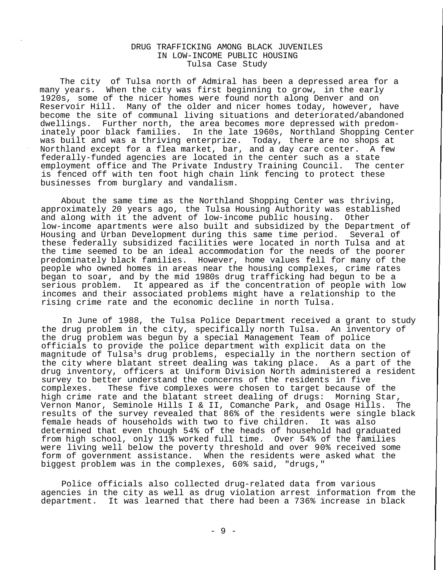## DRUG TRAFFICKING AMONG BLACK JUVENILES IN LOW-INCOME PUBLIC HOUSING Tulsa Case Study

The city of Tulsa north of Admiral has been a depressed area for a many years. When the city was first beginning to grow, in the early 1920s, some of the nicer homes were found north along Denver and on Reservoir Hill. Many of the older and nicer homes today, however, have become the site of communal living situations and deteriorated/abandoned dwellings. Further north, the area becomes more depressed with predominately poor black families. In the late 1960s, Northland Shopping Center was built and was a thriving enterprize. Today, there are no shops at Northland except for a flea market, bar, and a day care center. A few federally-funded agencies are located in the center such as a state employment office and The Private Industry Training Council. The center is fenced off with ten foot high chain link fencing to protect these businesses from burglary and vandalism.

About the same time as the Northland Shopping Center was thriving, approximately 20 years ago, the Tulsa Housing Authority was established and along with it the advent of low-income public housing. Other low-income apartments were also built and subsidized by the Department of Housing and Urban Development during this same time period. Several of these federally subsidized facilities were located in north Tulsa and at the time seemed to be an ideal accommodation for the needs of the poorer predominately black families. However, home values fell for many of the people who owned homes in areas near the housing complexes, crime rates began to soar, and by the mid 1980s drug trafficking had begun to be a serious problem. It appeared as if the concentration of people with low incomes and their associated problems might have a relationship to the rising crime rate and the economic decline in north Tulsa.

In June of 1988, the Tulsa Police Department received a grant to study the drug problem in the city, specifically north Tulsa. An inventory of the drug problem was begun by a special Management Team of police officials to provide the police department with explicit data on the magnitude of Tulsa<sup>1</sup>s drug problems, especially in the northern section of the city where blatant street dealing was taking place. As a part of the drug inventory, officers at Uniform Division North administered a resident survey to better understand the concerns of the residents in five<br>complexes. These five complexes were chosen to target because o: These five complexes were chosen to target because of the high crime rate and the blatant street dealing of drugs: Morning Star, Vernon Manor, Seminole Hills I & II, Comanche Park, and Osage Hills. The results of the survey revealed that 86% of the residents were single black female heads of households with two to five children. It was also determined that even though 54% of the heads of household had graduated from high school, only 11% worked full time. Over 54% of the families were living well below the poverty threshold and over 90% received some form of government assistance. When the residents were asked what the biggest problem was in the complexes, 60% said, "drugs,"

Police officials also collected drug-related data from various agencies in the city as well as drug violation arrest information from the department. It was learned that there had been a 736% increase in black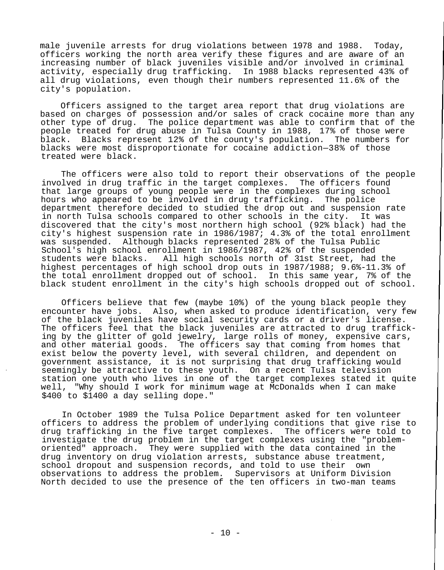male juvenile arrests for drug violations between 1978 and 1988. Today, officers working the north area verify these figures and are aware of an increasing number of black juveniles visible and/or involved in criminal activity, especially drug trafficking. In 1988 blacks represented 43% of all drug violations, even though their numbers represented 11.6% of the city's population.

Officers assigned to the target area report that drug violations are based on charges of possession and/or sales of crack cocaine more than any other type of drug. The police department was able to confirm that of the people treated for drug abuse in Tulsa County in 1988, 17% of those were black. Blacks represent 12% of the county's population. The numbers for blacks were most disproportionate for cocaine addiction—38% of those treated were black.

The officers were also told to report their observations of the people involved in drug traffic in the target complexes. The officers found that large groups of young people were in the complexes during school hours who appeared to be involved in drug trafficking. The police department therefore decided to studied the drop out and suspension rate in north Tulsa schools compared to other schools in the city. It was discovered that the city's most northern high school (92% black) had the city's highest suspension rate in 1986/1987; 4.3% of the total enrollment was suspended. Although blacks represented 28% of the Tulsa Public School's high school enrollment in 1986/1987, 42% of the suspended students were blacks. All high schools north of 31st Street, had the highest percentages of high school drop outs in 1987/1988; 9.6%-11.3% of the total enrollment dropped out of school. In this same year, 7% of the black student enrollment in the city's high schools dropped out of school.

Officers believe that few (maybe 10%) of the young black people they encounter have jobs. Also, when asked to produce identification, very few of the black juveniles have social security cards or a driver's license. The officers feel that the black juveniles are attracted to drug trafficking by the glitter of gold jewelry, large rolls of money, expensive cars, and other material goods. The officers say that coming from homes that exist below the poverty level, with several children, and dependent on government assistance, it is not surprising that drug trafficking would seemingly be attractive to these youth. On a recent Tulsa television station one youth who lives in one of the target complexes stated it quite well, "Why should I work for minimum wage at McDonalds when I can make \$400 to \$1400 a day selling dope."

In October 1989 the Tulsa Police Department asked for ten volunteer officers to address the problem of underlying conditions that give rise to drug trafficking in the five target complexes. The officers were told to investigate the drug problem in the target complexes using the "problemoriented" approach. They were supplied with the data contained in the drug inventory on drug violation arrests, substance abuse treatment, school dropout and suspension records, and told to use their own observations to address the problem. Supervisors at Uniform Division North decided to use the presence of the ten officers in two-man teams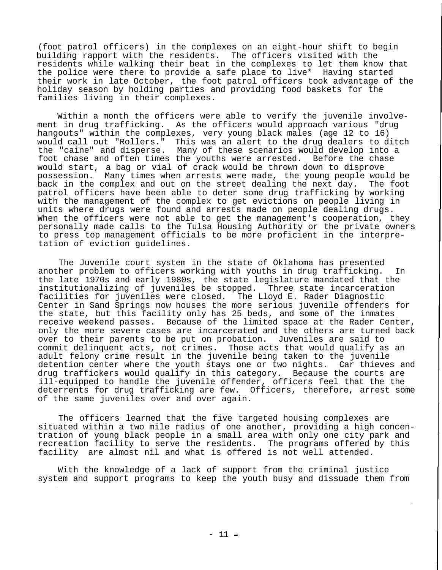(foot patrol officers) in the complexes on an eight-hour shift to begin building rapport with the residents. The officers visited with the residents while walking their beat in the complexes to let them know that the police were there to provide a safe place to live\* Having started their work in late October, the foot patrol officers took advantage of the holiday season by holding parties and providing food baskets for the families living in their complexes.

Within a month the officers were able to verify the juvenile involvement in drug trafficking. As the officers would approach various "drug hangouts" within the complexes, very young black males (age 12 to 16) would call out "Rollers." This was an alert to the drug dealers to ditch the "caine" and disperse. Many of these scenarios would develop into a foot chase and often times the youths were arrested. Before the chase would start, a bag or vial of crack would be thrown down to disprove possession. Many times when arrests were made, the young people would be back in the complex and out on the street dealing the next day. The foot patrol officers have been able to deter some drug trafficking by working with the management of the complex to get evictions on people living in units where drugs were found and arrests made on people dealing drugs. When the officers were not able to get the management's cooperation, they personally made calls to the Tulsa Housing Authority or the private owners to press top management officials to be more proficient in the interpretation of eviction guidelines.

The Juvenile court system in the state of Oklahoma has presented another problem to officers working with youths in drug trafficking. In the late 1970s and early 1980s, the state legislature mandated that the institutionalizing of juveniles be stopped. Three state incarceration facilities for juveniles were closed. The Lloyd E. Rader Diagnostic Center in Sand Springs now houses the more serious juvenile offenders for the state, but this facility only has 25 beds, and some of the inmates receive weekend passes. Because of the limited space at the Rader Center, only the more severe cases are incarcerated and the others are turned back over to their parents to be put on probation. Juveniles are said to commit delinquent acts, not crimes. Those acts that would qualify as an adult felony crime result in the juvenile being taken to the juvenile detention center where the youth stays one or two nights. Car thieves and drug traffickers would qualify in this category. Because the courts are ill-equipped to handle the juvenile offender, officers feel that the the deterrents for drug trafficking are few. Officers, therefore, arrest some of the same juveniles over and over again.

The officers learned that the five targeted housing complexes are situated within a two mile radius of one another, providing a high concentration of young black people in a small area with only one city park and recreation facility to serve the residents. The programs offered by this facility are almost nil and what is offered is not well attended.

With the knowledge of a lack of support from the criminal justice system and support programs to keep the youth busy and dissuade them from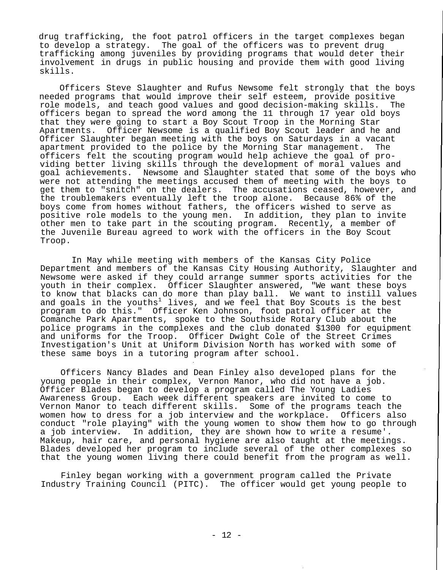drug trafficking, the foot patrol officers in the target complexes began to develop a strategy. The goal of the officers was to prevent drug trafficking among juveniles by providing programs that would deter their involvement in drugs in public housing and provide them with good living skills.

Officers Steve Slaughter and Rufus Newsome felt strongly that the boys needed programs that would improve their self esteem, provide positive role models, and teach good values and good decision-making skills. The officers began to spread the word among the 11 through 17 year old boys that they were going to start a Boy Scout Troop in the Morning Star Apartments. Officer Newsome is a qualified Boy Scout leader and he and Officer Slaughter began meeting with the boys on Saturdays in a vacant apartment provided to the police by the Morning Star management. The officers felt the scouting program would help achieve the goal of providing better living skills through the development of moral values and goal achievements. Newsome and Slaughter stated that some of the boys who were not attending the meetings accused them of meeting with the boys to get them to "snitch" on the dealers. The accusations ceased, however, and the troublemakers eventually left the troop alone. Because 86% of the boys come from homes without fathers, the officers wished to serve as positive role models to the young men. In addition, they plan to invite other men to take part in the scouting program. Recently, a member of the Juvenile Bureau agreed to work with the officers in the Boy Scout Troop.

In May while meeting with members of the Kansas City Police Department and members of the Kansas City Housing Authority, Slaughter and Newsome were asked if they could arrange summer sports activities for the youth in their complex. Officer Slaughter answered, "We want these boys to know that blacks can do more than play ball. We want to instill values and goals in the youths<sup>1</sup> lives, and we feel that Boy Scouts is the best program to do this." Officer Ken Johnson, foot patrol officer at the Comanche Park Apartments, spoke to the Southside Rotary Club about the police programs in the complexes and the club donated \$1300 for equipment and uniforms for the Troop. Officer Dwight Cole of the Street Crimes Investigation's Unit at Uniform Division North has worked with some of these same boys in a tutoring program after school.

Officers Nancy Blades and Dean Finley also developed plans for the young people in their complex, Vernon Manor, who did not have a job. Officer Blades began to develop a program called The Young Ladies Awareness Group. Each week different speakers are invited to come to Vernon Manor to teach different skills. Some of the programs teach the women how to dress for a job interview and the workplace. Officers also conduct "role playing" with the young women to show them how to go through a job interview. In addition, they are shown how to write a resume'. Makeup, hair care, and personal hygiene are also taught at the meetings. Blades developed her program to include several of the other complexes so that the young women living there could benefit from the program as well.

Finley began working with a government program called the Private Industry Training Council (PITC). The officer would get young people to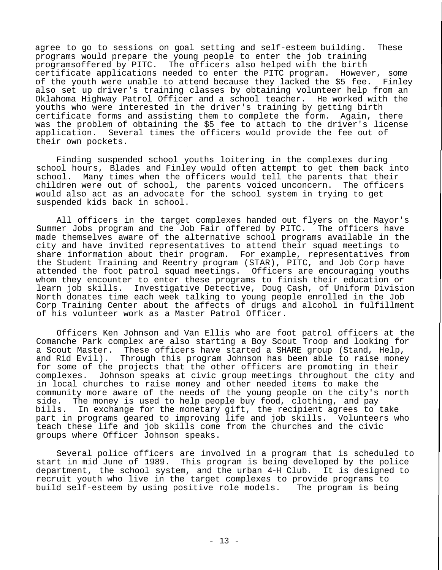agree to go to sessions on goal setting and self-esteem building. These programs would prepare the young people to enter the job training programsoffered by PITC. The officers also helped with the birth certificate applications needed to enter the PITC program. However, some of the youth were unable to attend because they lacked the \$5 fee. Finley also set up driver's training classes by obtaining volunteer help from an Oklahoma Highway Patrol Officer and a school teacher. He worked with the youths who were interested in the driver's training by getting birth certificate forms and assisting them to complete the form. Again, there was the problem of obtaining the \$5 fee to attach to the driver's license application. Several times the officers would provide the fee out of their own pockets.

Finding suspended school youths loitering in the complexes during school hours, Blades and Finley would often attempt to get them back into school. Many times when the officers would tell the parents that their children were out of school, the parents voiced unconcern. The officers would also act as an advocate for the school system in trying to get suspended kids back in school.

All officers in the target complexes handed out flyers on the Mayor's<br>Ner Jobs program and the Job Fair offered by PITC. The officers have Summer Jobs program and the Job Fair offered by PITC. made themselves aware of the alternative school programs available in the city and have invited representatives to attend their squad meetings to share information about their program. For example, representatives from the Student Training and Reentry program (STAR), PITC, and Job Corp have attended the foot patrol squad meetings. Officers are encouraging youths whom they encounter to enter these programs to finish their education or learn job skills. Investigative Detective, Doug Cash, of Uniform Division North donates time each week talking to young people enrolled in the Job Corp Training Center about the affects of drugs and alcohol in fulfillment of his volunteer work as a Master Patrol Officer.

Officers Ken Johnson and Van Ellis who are foot patrol officers at the Comanche Park complex are also starting a Boy Scout Troop and looking for a Scout Master. These officers have started a SHARE group (Stand, Help, and Rid Evil). Through this program Johnson has been able to raise money for some of the projects that the other officers are promoting in their complexes. Johnson speaks at civic group meetings throughout the city and in local churches to raise money and other needed items to make the community more aware of the needs of the young people on the city's north side. The money is used to help people buy food, clothing, and pay bills. In exchange for the monetary gift, the recipient agrees to take part in programs geared to improving life and job skills. Volunteers who teach these life and job skills come from the churches and the civic groups where Officer Johnson speaks.

Several police officers are involved in a program that is scheduled to start in mid June of 1989. This program is being developed by the police department, the school system, and the urban 4-H Club. It is designed to recruit youth who live in the target complexes to provide programs to build self-esteem by using positive role models. The program is being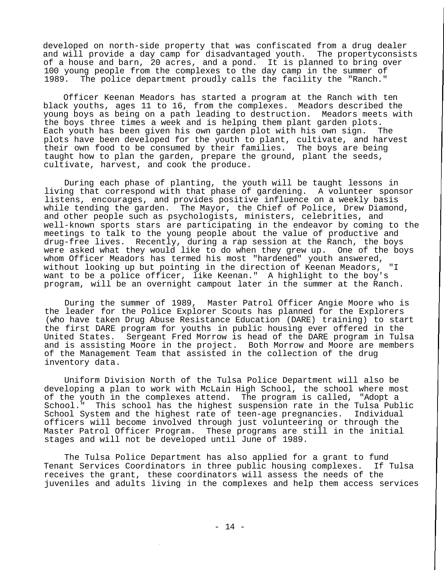developed on north-side property that was confiscated from a drug dealer and will provide a day camp for disadvantaged youth. The propertyconsists of a house and barn, 20 acres, and a pond. It is planned to bring over 100 young people from the complexes to the day camp in the summer of 1989. The police department proudly calls the facility the "Ranch."

Officer Keenan Meadors has started a program at the Ranch with ten black youths, ages 11 to 16, from the complexes. Meadors described the young boys as being on a path leading to destruction. Meadors meets with the boys three times a week and is helping them plant garden plots. Each youth has been given his own garden plot with his own sign. The plots have been developed for the youth to plant, cultivate, and harvest their own food to be consumed by their families. The boys are being taught how to plan the garden, prepare the ground, plant the seeds, cultivate, harvest, and cook the produce.

During each phase of planting, the youth will be taught lessons in living that correspond with that phase of gardening. A volunteer sponsor listens, encourages, and provides positive influence on a weekly basis while tending the garden. The Mayor, the Chief of Police, Drew Diamond, and other people such as psychologists, ministers, celebrities, and well-known sports stars are participating in the endeavor by coming to the meetings to talk to the young people about the value of productive and drug-free lives. Recently, during a rap session at the Ranch, the boys were asked what they would like to do when they grew up. One of the boys whom Officer Meadors has termed his most "hardened" youth answered, without looking up but pointing in the direction of Keenan Meadors, want to be a police officer, like Keenan." A highlight to the boy's program, will be an overnight campout later in the summer at the Ranch.

During the summer of 1989, Master Patrol Officer Angie Moore who is the leader for the Police Explorer Scouts has planned for the Explorers (who have taken Drug Abuse Resistance Education (DARE) training) to start the first DARE program for youths in public housing ever offered in the United States. Sergeant Fred Morrow is head of the DARE program in Tulsa and is assisting Moore in the project. Both Morrow and Moore are members of the Management Team that assisted in the collection of the drug inventory data.

Uniform Division North of the Tulsa Police Department will also be developing a plan to work with McLain High School, the school where most of the youth in the complexes attend. The program is called, "Adopt a School." This school has the highest suspension rate in the Tulsa Public School System and the highest rate of teen-age pregnancies. Individual officers will become involved through just volunteering or through the Master Patrol Officer Program. These programs are still in the initial stages and will not be developed until June of 1989.

The Tulsa Police Department has also applied for a grant to fund Tenant Services Coordinators in three public housing complexes. If Tulsa receives the grant, these coordinators will assess the needs of the juveniles and adults living in the complexes and help them access services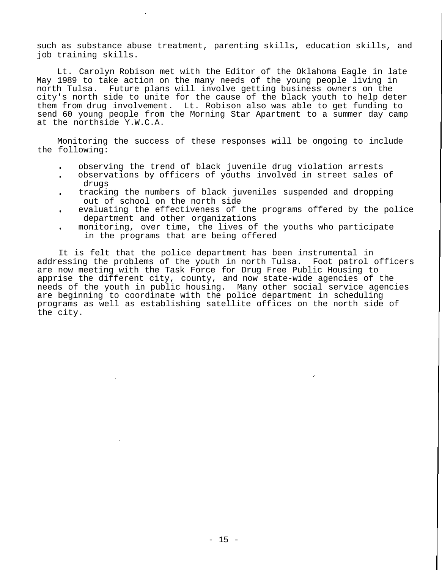such as substance abuse treatment, parenting skills, education skills, and job training skills.

Lt. Carolyn Robison met with the Editor of the Oklahoma Eagle in late May 1989 to take action on the many needs of the young people living in north Tulsa. Future plans will involve getting business owners on the city's north side to unite for the cause of the black youth to help deter them from drug involvement. Lt. Robison also was able to get funding to send 60 young people from the Morning Star Apartment to a summer day camp at the northside Y.W.C.A.

Monitoring the success of these responses will be ongoing to include the following:

- observing the trend of black juvenile drug violation arrests
- observations by officers of youths involved in street sales of drugs
- tracking the numbers of black juveniles suspended and dropping out of school on the north side
- evaluating the effectiveness of the programs offered by the police department and other organizations
- monitoring, over time, the lives of the youths who participate in the programs that are being offered

It is felt that the police department has been instrumental in addressing the problems of the youth in north Tulsa. Foot patrol officers are now meeting with the Task Force for Drug Free Public Housing to apprise the different city, county, and now state-wide agencies of the needs of the youth in public housing. Many other social service agencies are beginning to coordinate with the police department in scheduling programs as well as establishing satellite offices on the north side of the city.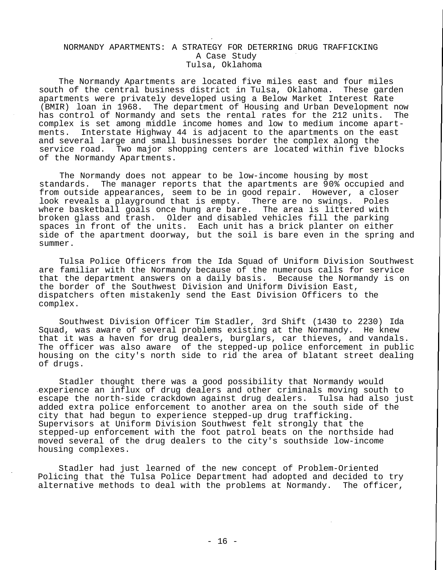#### NORMANDY APARTMENTS: A STRATEGY FOR DETERRING DRUG TRAFFICKING A Case Study Tulsa, Oklahoma

The Normandy Apartments are located five miles east and four miles south of the central business district in Tulsa, Oklahoma. These garden apartments were privately developed using a Below Market Interest Rate<br>(BMIR) loan in 1968. The department of Housing and Urban Development I The department of Housing and Urban Development now has control of Normandy and sets the rental rates for the 212 units. The complex is set among middle income homes and low to medium income apartments. Interstate Highway 44 is adjacent to the apartments on the east and several large and small businesses border the complex along the service road. Two major shopping centers are located within five blocks of the Normandy Apartments.

The Normandy does not appear to be low-income housing by most standards. The manager reports that the apartments are 90% occupied and from outside appearances, seem to be in good repair. However, a closer look reveals a playground that is empty. There are no swings. Poles where basketball goals once hung are bare. The area is littered with broken glass and trash. Older and disabled vehicles fill the parking spaces in front of the units. Each unit has a brick planter on either side of the apartment doorway, but the soil is bare even in the spring and summer.

Tulsa Police Officers from the Ida Squad of Uniform Division Southwest are familiar with the Normandy because of the numerous calls for service that the department answers on a daily basis. Because the Normandy is on the border of the Southwest Division and Uniform Division East, dispatchers often mistakenly send the East Division Officers to the complex.

Southwest Division Officer Tim Stadler, 3rd Shift (1430 to 2230) Ida Squad, was aware of several problems existing at the Normandy. He knew that it was a haven for drug dealers, burglars, car thieves, and vandals. The officer was also aware of the stepped-up police enforcement in public housing on the city's north side to rid the area of blatant street dealing of drugs.

Stadler thought there was a good possibility that Normandy would experience an influx of drug dealers and other criminals moving south to escape the north-side crackdown against drug dealers. Tulsa had also just added extra police enforcement to another area on the south side of the city that had begun to experience stepped-up drug trafficking. Supervisors at Uniform Division Southwest felt strongly that the stepped-up enforcement with the foot patrol beats on the northside had moved several of the drug dealers to the city's southside low-income housing complexes.

Stadler had just learned of the new concept of Problem-Oriented Policing that the Tulsa Police Department had adopted and decided to try alternative methods to deal with the problems at Normandy. The officer,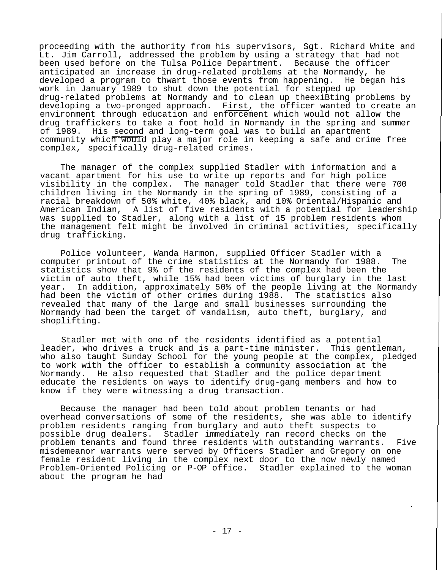proceeding with the authority from his supervisors, Sgt. Richard White and Lt. Jim Carroll, addressed the problem by using a strategy that had not been used before on the Tulsa Police Department. Because the officer anticipated an increase in drug-related problems at the Normandy, he developed a program to thwart those events from happening. He began his work in January 1989 to shut down the potential for stepped up drug-related problems at Normandy and to clean up theexiBting problems by developing a two-pronged approach. First, the officer wanted to create an environment through education and enforcement which would not allow the drug traffickers to take a foot hold in Normandy in the spring and summer of 1989. His second and long-term goal was to build an apartment community which would play a major role in keeping a safe and crime free complex, specifically drug-related crimes.

The manager of the complex supplied Stadler with information and a vacant apartment for his use to write up reports and for high police visibility in the complex. The manager told Stadler that there were 700 children living in the Normandy in the spring of 1989, consisting of a racial breakdown of 50% white, 40% black, and 10% Oriental/Hispanic and American Indian, A list of five residents with a potential for leadership was supplied to Stadler, along with a list of 15 problem residents whom the management felt might be involved in criminal activities, specifically drug trafficking.

Police volunteer, Wanda Harmon, supplied Officer Stadler with a computer printout of the crime statistics at the Normandy for 1988. The statistics show that 9% of the residents of the complex had been the victim of auto theft, while 15% had been victims of burglary in the last year. In addition, approximately 50% of the people living at the Normandy had been the victim of other crimes during 1988. The statistics also revealed that many of the large and small businesses surrounding the Normandy had been the target of vandalism, auto theft, burglary, and shoplifting.

Stadler met with one of the residents identified as a potential leader, who drives a truck and is a part-time minister. This gentleman, who also taught Sunday School for the young people at the complex, pledged to work with the officer to establish a community association at the Normandy. He also requested that Stadler and the police department educate the residents on ways to identify drug-gang members and how to know if they were witnessing a drug transaction.

Because the manager had been told about problem tenants or had overhead conversations of some of the residents, she was able to identify problem residents ranging from burglary and auto theft suspects to possible drug dealers. Stadler immediately ran record checks on the problem tenants and found three residents with outstanding warrants. Five misdemeanor warrants were served by Officers Stadler and Gregory on one female resident living in the complex next door to the now newly named Problem-Oriented Policing or P-OP office. Stadler explained to the woman about the program he had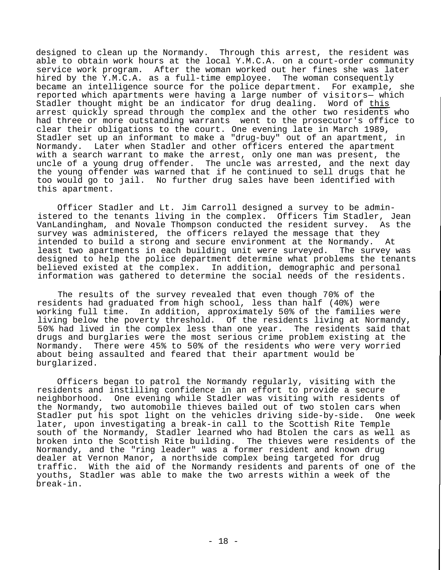designed to clean up the Normandy. Through this arrest, the resident was able to obtain work hours at the local Y.M.C.A. on a court-order community service work program. After the woman worked out her fines she was later hired by the Y.M.C.A. as a full-time employee. The woman consequently became an intelligence source for the police department. For example, she reported which apartments were having a large number of visitors— which Stadler thought might be an indicator for drug dealing. Word of this arrest quickly spread through the complex and the other two residents who had three or more outstanding warrants went to the prosecutor's office to clear their obligations to the court. One evening late in March 1989, Stadler set up an informant to make a "drug-buy" out of an apartment, in Normandy. Later when Stadler and other officers entered the apartment with a search warrant to make the arrest, only one man was present, the uncle of a young drug offender. The uncle was arrested, and the next day the young offender was warned that if he continued to sell drugs that he too would go to jail. No further drug sales have been identified with this apartment.

Officer Stadler and Lt. Jim Carroll designed a survey to be administered to the tenants living in the complex. Officers Tim Stadler, Jean VanLandingham, and Novale Thompson conducted the resident survey. As the survey was administered, the officers relayed the message that they intended to build a strong and secure environment at the Normandy. At least two apartments in each building unit were surveyed. The survey was designed to help the police department determine what problems the tenants believed existed at the complex. In addition, demographic and personal information was gathered to determine the social needs of the residents.

The results of the survey revealed that even though 70% of the residents had graduated from high school, less than half (40%) were working full time. In addition, approximately 50% of the families were living below the poverty threshold. Of the residents living at Normandy, 50% had lived in the complex less than one year. The residents said that drugs and burglaries were the most serious crime problem existing at the Normandy. There were 45% to 50% of the residents who were very worried about being assaulted and feared that their apartment would be burglarized.

Officers began to patrol the Normandy regularly, visiting with the residents and instilling confidence in an effort to provide a secure neighborhood. One evening while Stadler was visiting with residents of the Normandy, two automobile thieves bailed out of two stolen cars when Stadler put his spot light on the vehicles driving side-by-side. One week later, upon investigating a break-in call to the Scottish Rite Temple south of the Normandy, Stadler learned who had Btolen the cars as well as broken into the Scottish Rite building. The thieves were residents of the Normandy, and the "ring leader" was a former resident and known drug dealer at Vernon Manor, a northside complex being targeted for drug traffic. With the aid of the Normandy residents and parents of one of the youths, Stadler was able to make the two arrests within a week of the break-in.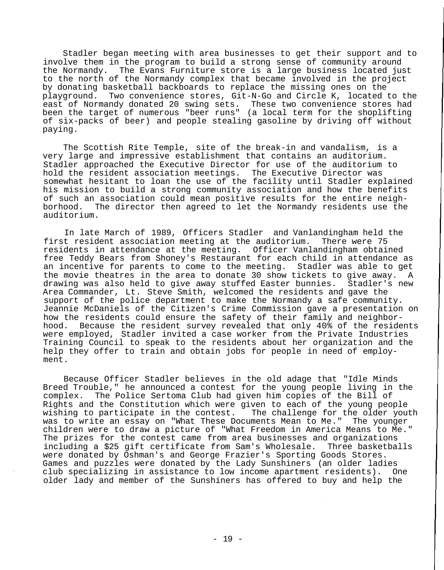Stadler began meeting with area businesses to get their support and to involve them in the program to build a strong sense of community around the Normandy. The Evans Furniture store is a large business located just to the north of the Normandy complex that became involved in the project by donating basketball backboards to replace the missing ones on the playground. Two convenience stores, Git-N-Go and Circle K, located to the east of Normandy donated 20 swing sets. These two convenience stores had been the target of numerous "beer runs" (a local term for the shoplifting of six-packs of beer) and people stealing gasoline by driving off without paying.

The Scottish Rite Temple, site of the break-in and vandalism, is a very large and impressive establishment that contains an auditorium. Stadler approached the Executive Director for use of the auditorium to hold the resident association meetings. The Executive Director was somewhat hesitant to loan the use of the facility until Stadler explained his mission to build a strong community association and how the benefits of such an association could mean positive results for the entire neighborhood. The director then agreed to let the Normandy residents use the auditorium.

In late March of 1989, Officers Stadler and Vanlandingham held the first resident association meeting at the auditorium. There were 75 residents in attendance at the meeting. Officer Vanlandingham obtained free Teddy Bears from Shoney's Restaurant for each child in attendance as an incentive for parents to come to the meeting. Stadler was able to get the movie theatres in the area to donate 30 show tickets to give away. A drawing was also held to give away stuffed Easter bunnies. Stadler's new Area Commander, Lt. Steve Smith, welcomed the residents and gave the support of the police department to make the Normandy a safe community. Jeannie McDaniels of the Citizen's Crime Commission gave a presentation on how the residents could ensure the safety of their family and neighborhood. Because the resident survey revealed that only 40% of the residents were employed, Stadler invited a case worker from the Private Industries Training Council to speak to the residents about her organization and the help they offer to train and obtain jobs for people in need of employment.

Because Officer Stadler believes in the old adage that "Idle Minds Breed Trouble," he announced a contest for the young people living in the complex. The Police Sertoma Club had given him copies of the Bill of Rights and the Constitution which were given to each of the young people wishing to participate in the contest. The challenge for the older youth was to write an essay on "What These Documents Mean to Me." The younger children were to draw a picture of "What Freedom in America Means to Me." The prizes for the contest came from area businesses and organizations<br>including a \$25 gift certificate from Sam's Wholesale. Three basketballs including a \$25 gift certificate from Sam's Wholesale. were donated by Oshman's and George Frazier's Sporting Goods Stores. Games and puzzles were donated by the Lady Sunshiners (an older ladies club specializing in assistance to low income apartment residents). One older lady and member of the Sunshiners has offered to buy and help the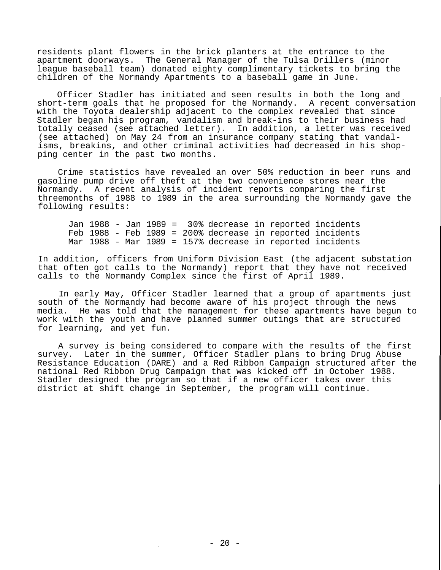residents plant flowers in the brick planters at the entrance to the apartment doorways. The General Manager of the Tulsa Drillers (minor league baseball team) donated eighty complimentary tickets to bring the children of the Normandy Apartments to a baseball game in June.

Officer Stadler has initiated and seen results in both the long and short-term goals that he proposed for the Normandy. A recent conversation with the Toyota dealership adjacent to the complex revealed that since Stadler began his program, vandalism and break-ins to their business had totally ceased (see attached letter). In addition, a letter was received (see attached) on May 24 from an insurance company stating that vandalisms, breakins, and other criminal activities had decreased in his shopping center in the past two months.

Crime statistics have revealed an over 50% reduction in beer runs and gasoline pump drive off theft at the two convenience stores near the Normandy. A recent analysis of incident reports comparing the first threemonths of 1988 to 1989 in the area surrounding the Normandy gave the following results:

Jan 1988 - Jan 1989 = 30% decrease in reported incidents Feb 1988 - Feb 1989 = 200% decrease in reported incidents Mar 1988 - Mar 1989 = 157% decrease in reported incidents

In addition, officers from Uniform Division East (the adjacent substation that often got calls to the Normandy) report that they have not received calls to the Normandy Complex since the first of April 1989.

In early May, Officer Stadler learned that a group of apartments just south of the Normandy had become aware of his project through the news media. He was told that the management for these apartments have begun to work with the youth and have planned summer outings that are structured for learning, and yet fun.

A survey is being considered to compare with the results of the first survey. Later in the summer, Officer Stadler plans to bring Drug Abuse Resistance Education (DARE) and a Red Ribbon Campaign structured after the national Red Ribbon Drug Campaign that was kicked off in October 1988. Stadler designed the program so that if a new officer takes over this district at shift change in September, the program will continue.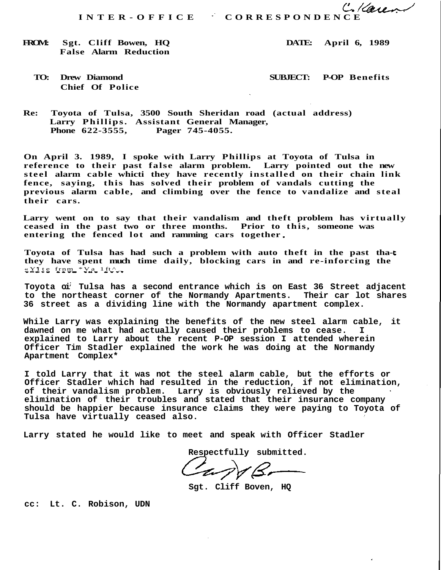#### **FROM: Sgt. Cliff Bowen, HQ DATE: April 6, 1989 False Alarm Reduction**

# **Chief Of Police**

## **TO: Drew Diamond SUBJECT: P-OP Benefits**

**Re: Toyota of Tulsa, 3500 South Sheridan road (actual address) Larry Phillips. Assistant General Manager, Phone 622-3555, Pager 745-4055.**

**On April 3. 1989, I spoke with Larry Phillips at Toyota of Tulsa in reference to their past false alarm problem. Larry pointed out the new** steel alarm cable whicti they have recently installed on their chain link **fence, saying, this has solved their problem of vandals cutting the previous alarm cable, and climbing over the fence to vandalize and steal their cars.**

**Larry went on to say that their vandalism and theft problem has virtually ceased in the past two or three months. Prior to this, someone was entering the fenced lot and ramming cars together**

**Toyota of Tulsa has had such a problem with auto theft in the past thathey have spent much time daily, blocking cars in and re-inforcing the**  $\frac{\mathbb{E} \times \mathbb{E} \times \mathbb{E} \times \mathbb{E} \times \mathbb{E} \times \mathbb{E} \times \mathbb{E} \times \mathbb{E} \times \mathbb{E} \times \mathbb{E} \times \mathbb{E} \times \mathbb{E} \times \mathbb{E} \times \mathbb{E} \times \mathbb{E} \times \mathbb{E} \times \mathbb{E} \times \mathbb{E} \times \mathbb{E} \times \mathbb{E} \times \mathbb{E} \times \mathbb{E} \times \mathbb{E} \times \mathbb{E} \times \mathbb{E} \times \mathbb{E} \times \mathbb{E} \times \math$ 

**Toyota oi; Tulsa has a second entrance which is on East 36 Street adjacent to the northeast corner of the Normandy Apartments. Their car lot shares 36 street as a dividing line with the Normandy apartment complex.**

**While Larry was explaining the benefits of the new steel alarm cable, it dawned on me what had actually caused their problems to cease. I explained to Larry about the recent P-OP session I attended wherein Officer Tim Stadler explained the work he was doing at the Normandy Apartment Complex\***

**I told Larry that it was not the steel alarm cable, but the efforts or Officer Stadler which had resulted in the reduction, if not elimination, of their vandalism problem. Larry is obviously relieved by the elimination of their troubles and stated that their insurance company should be happier because insurance claims they were paying to Toyota of Tulsa have virtually ceased also.**

**Larry stated he would like to meet and speak with Officer Stadler**

Respectfully submitted.

**Sgt. Cliff Boven, HQ**

**cc: Lt. C. Robison, UDN**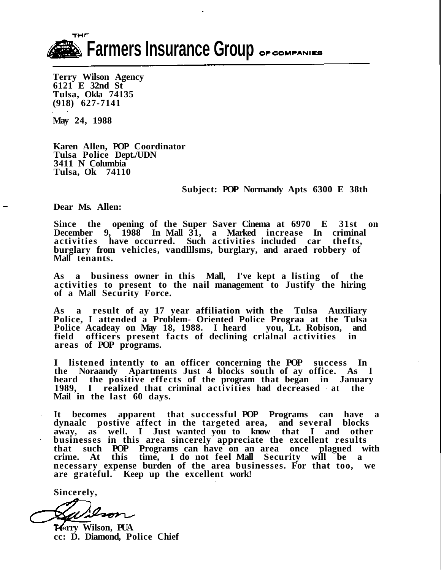THE **Example Secondary Secondary Secondary 18th Secondary 18th Secondary 18th Secondary 18th Secondary 18th Secondary 18th Secondary 18th Secondary 18th Secondary 18th Secondary 18th Secondary 18th Secondary 18th Secondary 18t** 

**Terry Wilson Agency 6121 E 32nd St Tulsa, Okla 74135 (918) 627-7141**

**May 24, 1988**

**Karen Allen, POP Coordinator Tulsa Police Dept./UDN 3411 N Columbia Tulsa, Ok 74110**

**Subject: POP Normandy Apts 6300 E 38th**

**Dear Ms. Allen:**

**Since the opening of the Super Saver Cinema at 6970 E 31st on December 9, 1988 In Mall 31, a Marked increase In criminal activities have occurred. Such activities included car thefts, burglary from vehicles, vandlllsms, burglary, and araed robbery of Mall tenants.**

**As a business owner in this Mall, I've kept a listing of the activities to present to the nail management to Justify the hiring of a Mall Security Force.**

**As a result of ay 17 year affiliation with the Tulsa Auxiliary Police, I attended a Problem- Oriented Police Prograa at the Tulsa Police Acadeay on May 18, 1988. I heard you, Lt. Robison, and field officers present facts of declining crlalnal activities in areas of POP programs.**

**I listened intently to an officer concerning the POP success In the Noraandy Apartments Just 4 blocks south of ay office. As I heard the positive effects of the program that began in January 1989, I realized that criminal activities had decreased at the Mail in the last 60 days.**

**It becomes apparent that successful POP Programs can have a dynaalc postive affect in the targeted area, and several blocks away, as well. I Just wanted you to know that I and other businesses in this area sincerely appreciate the excellent results that such POP Programs can have on an area once plagued with crime. At this time, I do not feel Mall Security will be a necessary expense burden of the area businesses. For that too, we are grateful. Keep up the excellent work!**

**Sincerely,**

Ison

*K*«rry Wilson, PUA **cc: D. Diamond, Police Chief**